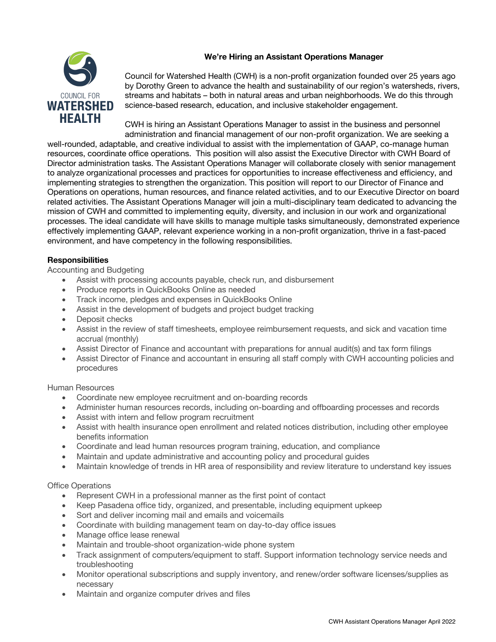# **We're Hiring an Assistant Operations Manager**



Council for Watershed Health (CWH) is a non-profit organization founded over 25 years ago by Dorothy Green to advance the health and sustainability of our region's watersheds, rivers, streams and habitats – both in natural areas and urban neighborhoods. We do this through science-based research, education, and inclusive stakeholder engagement.

CWH is hiring an Assistant Operations Manager to assist in the business and personnel administration and financial management of our non-profit organization. We are seeking a

well-rounded, adaptable, and creative individual to assist with the implementation of GAAP, co-manage human resources, coordinate office operations. This position will also assist the Executive Director with CWH Board of Director administration tasks. The Assistant Operations Manager will collaborate closely with senior management to analyze organizational processes and practices for opportunities to increase effectiveness and efficiency, and implementing strategies to strengthen the organization. This position will report to our Director of Finance and Operations on operations, human resources, and finance related activities, and to our Executive Director on board related activities. The Assistant Operations Manager will join a multi-disciplinary team dedicated to advancing the mission of CWH and committed to implementing equity, diversity, and inclusion in our work and organizational processes. The ideal candidate will have skills to manage multiple tasks simultaneously, demonstrated experience effectively implementing GAAP, relevant experience working in a non-profit organization, thrive in a fast-paced environment, and have competency in the following responsibilities.

## **Responsibilities**

Accounting and Budgeting

- Assist with processing accounts payable, check run, and disbursement
- Produce reports in QuickBooks Online as needed
- Track income, pledges and expenses in QuickBooks Online
- Assist in the development of budgets and project budget tracking
- Deposit checks
- Assist in the review of staff timesheets, employee reimbursement requests, and sick and vacation time accrual (monthly)
- Assist Director of Finance and accountant with preparations for annual audit(s) and tax form filings
- Assist Director of Finance and accountant in ensuring all staff comply with CWH accounting policies and procedures

## Human Resources

- Coordinate new employee recruitment and on-boarding records
- Administer human resources records, including on-boarding and offboarding processes and records
- Assist with intern and fellow program recruitment
- Assist with health insurance open enrollment and related notices distribution, including other employee benefits information
- Coordinate and lead human resources program training, education, and compliance
- Maintain and update administrative and accounting policy and procedural guides
- Maintain knowledge of trends in HR area of responsibility and review literature to understand key issues

## Office Operations

- Represent CWH in a professional manner as the first point of contact
- Keep Pasadena office tidy, organized, and presentable, including equipment upkeep
- Sort and deliver incoming mail and emails and voicemails
- Coordinate with building management team on day-to-day office issues
- Manage office lease renewal
- Maintain and trouble-shoot organization-wide phone system
- Track assignment of computers/equipment to staff. Support information technology service needs and troubleshooting
- Monitor operational subscriptions and supply inventory, and renew/order software licenses/supplies as necessary
- Maintain and organize computer drives and files